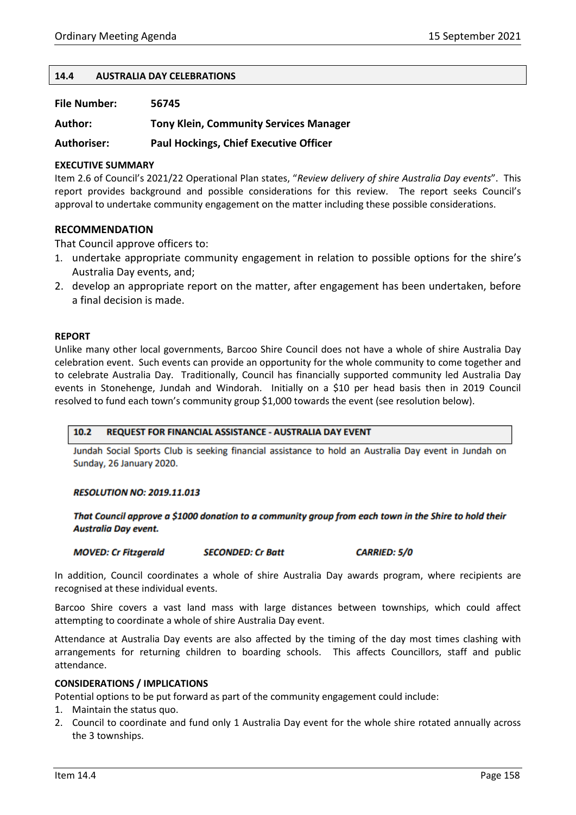#### **14.4 AUSTRALIA DAY CELEBRATIONS**

| <b>File Number:</b> | 56745 |
|---------------------|-------|
|---------------------|-------|

**Author: Tony Klein, Community Services Manager**

**Authoriser: Paul Hockings, Chief Executive Officer**

### **EXECUTIVE SUMMARY**

Item 2.6 of Council's 2021/22 Operational Plan states, "*Review delivery of shire Australia Day events*". This report provides background and possible considerations for this review. The report seeks Council's approval to undertake community engagement on the matter including these possible considerations.

### **RECOMMENDATION**

That Council approve officers to:

- 1. undertake appropriate community engagement in relation to possible options for the shire's Australia Day events, and;
- 2. develop an appropriate report on the matter, after engagement has been undertaken, before a final decision is made.

#### **REPORT**

Unlike many other local governments, Barcoo Shire Council does not have a whole of shire Australia Day celebration event. Such events can provide an opportunity for the whole community to come together and to celebrate Australia Day. Traditionally, Council has financially supported community led Australia Day events in Stonehenge, Jundah and Windorah. Initially on a \$10 per head basis then in 2019 Council resolved to fund each town's community group \$1,000 towards the event (see resolution below).

#### $10.2$ **REQUEST FOR FINANCIAL ASSISTANCE - AUSTRALIA DAY EVENT**

Jundah Social Sports Club is seeking financial assistance to hold an Australia Day event in Jundah on Sunday, 26 January 2020.

#### **RESOLUTION NO: 2019.11.013**

That Council approve a \$1000 donation to a community group from each town in the Shire to hold their **Australia Day event.** 

**MOVED: Cr Fitzgerald SECONDED: Cr Batt**  **CARRIED: 5/0** 

In addition, Council coordinates a whole of shire Australia Day awards program, where recipients are recognised at these individual events.

Barcoo Shire covers a vast land mass with large distances between townships, which could affect attempting to coordinate a whole of shire Australia Day event.

Attendance at Australia Day events are also affected by the timing of the day most times clashing with arrangements for returning children to boarding schools. This affects Councillors, staff and public attendance.

#### **CONSIDERATIONS / IMPLICATIONS**

Potential options to be put forward as part of the community engagement could include:

- 1. Maintain the status quo.
- 2. Council to coordinate and fund only 1 Australia Day event for the whole shire rotated annually across the 3 townships.